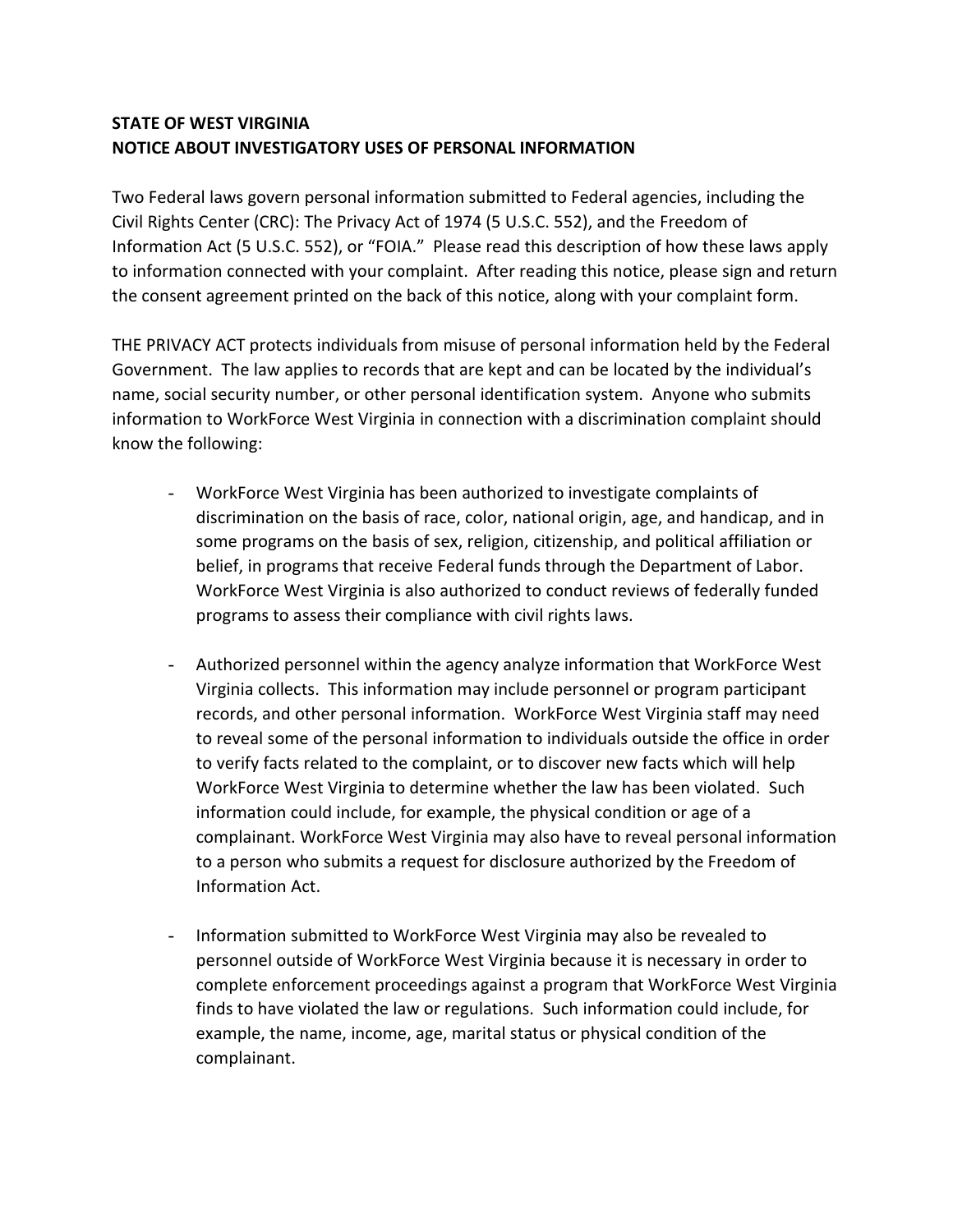## **STATE OF WEST VIRGINIA NOTICE ABOUT INVESTIGATORY USES OF PERSONAL INFORMATION**

Two Federal laws govern personal information submitted to Federal agencies, including the Civil Rights Center (CRC): The Privacy Act of 1974 (5 U.S.C. 552), and the Freedom of Information Act (5 U.S.C. 552), or "FOIA." Please read this description of how these laws apply to information connected with your complaint. After reading this notice, please sign and return the consent agreement printed on the back of this notice, along with your complaint form.

THE PRIVACY ACT protects individuals from misuse of personal information held by the Federal Government. The law applies to records that are kept and can be located by the individual's name, social security number, or other personal identification system. Anyone who submits information to WorkForce West Virginia in connection with a discrimination complaint should know the following:

- WorkForce West Virginia has been authorized to investigate complaints of discrimination on the basis of race, color, national origin, age, and handicap, and in some programs on the basis of sex, religion, citizenship, and political affiliation or belief, in programs that receive Federal funds through the Department of Labor. WorkForce West Virginia is also authorized to conduct reviews of federally funded programs to assess their compliance with civil rights laws.
- Authorized personnel within the agency analyze information that WorkForce West Virginia collects. This information may include personnel or program participant records, and other personal information. WorkForce West Virginia staff may need to reveal some of the personal information to individuals outside the office in order to verify facts related to the complaint, or to discover new facts which will help WorkForce West Virginia to determine whether the law has been violated. Such information could include, for example, the physical condition or age of a complainant. WorkForce West Virginia may also have to reveal personal information to a person who submits a request for disclosure authorized by the Freedom of Information Act.
- Information submitted to WorkForce West Virginia may also be revealed to personnel outside of WorkForce West Virginia because it is necessary in order to complete enforcement proceedings against a program that WorkForce West Virginia finds to have violated the law or regulations. Such information could include, for example, the name, income, age, marital status or physical condition of the complainant.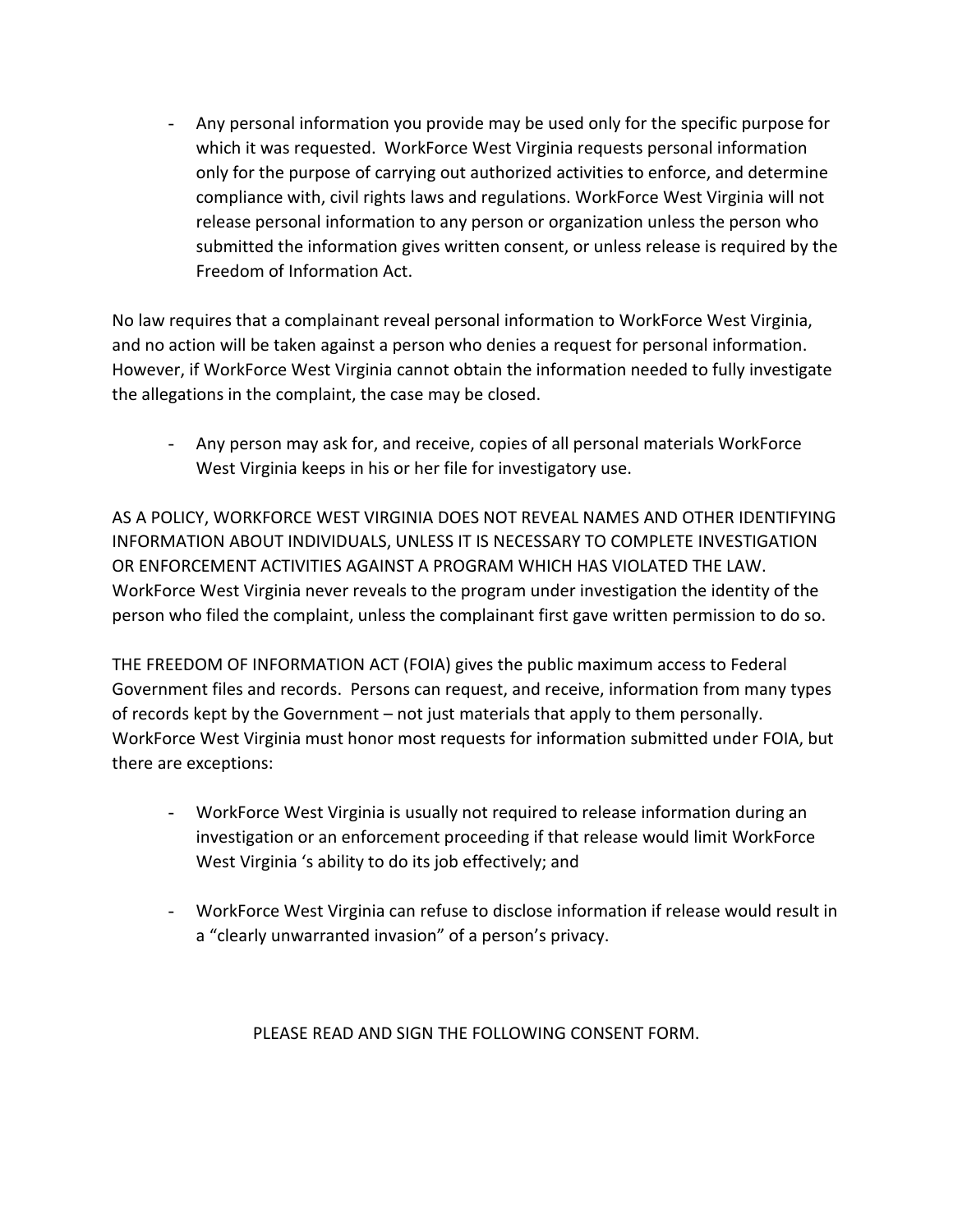- Any personal information you provide may be used only for the specific purpose for which it was requested. WorkForce West Virginia requests personal information only for the purpose of carrying out authorized activities to enforce, and determine compliance with, civil rights laws and regulations. WorkForce West Virginia will not release personal information to any person or organization unless the person who submitted the information gives written consent, or unless release is required by the Freedom of Information Act.

No law requires that a complainant reveal personal information to WorkForce West Virginia, and no action will be taken against a person who denies a request for personal information. However, if WorkForce West Virginia cannot obtain the information needed to fully investigate the allegations in the complaint, the case may be closed.

- Any person may ask for, and receive, copies of all personal materials WorkForce West Virginia keeps in his or her file for investigatory use.

AS A POLICY, WORKFORCE WEST VIRGINIA DOES NOT REVEAL NAMES AND OTHER IDENTIFYING INFORMATION ABOUT INDIVIDUALS, UNLESS IT IS NECESSARY TO COMPLETE INVESTIGATION OR ENFORCEMENT ACTIVITIES AGAINST A PROGRAM WHICH HAS VIOLATED THE LAW. WorkForce West Virginia never reveals to the program under investigation the identity of the person who filed the complaint, unless the complainant first gave written permission to do so.

THE FREEDOM OF INFORMATION ACT (FOIA) gives the public maximum access to Federal Government files and records. Persons can request, and receive, information from many types of records kept by the Government – not just materials that apply to them personally. WorkForce West Virginia must honor most requests for information submitted under FOIA, but there are exceptions:

- WorkForce West Virginia is usually not required to release information during an investigation or an enforcement proceeding if that release would limit WorkForce West Virginia 's ability to do its job effectively; and
- WorkForce West Virginia can refuse to disclose information if release would result in a "clearly unwarranted invasion" of a person's privacy.

PLEASE READ AND SIGN THE FOLLOWING CONSENT FORM.